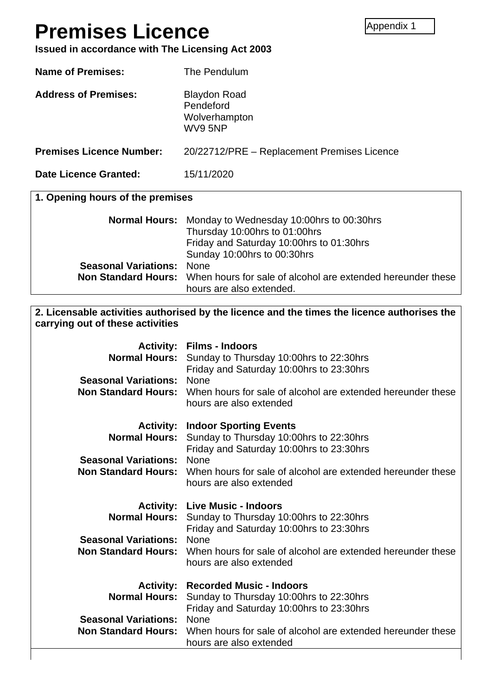# **Premises Licence**

**Issued in accordance with The Licensing Act 2003**

**Name of Premises:** The Pendulum Address of Premises: Blaydon Road

Pendeford Wolverhampton WV9 5NP

**Premises Licence Number:** 20/22712/PRE – Replacement Premises Licence

**Date Licence Granted:** 15/11/2020

|  |  |  |  | 1. Opening hours of the premises |
|--|--|--|--|----------------------------------|
|--|--|--|--|----------------------------------|

|                                  | <b>Normal Hours:</b> Monday to Wednesday 10:00hrs to 00:30hrs                                                      |
|----------------------------------|--------------------------------------------------------------------------------------------------------------------|
|                                  | Thursday 10:00hrs to 01:00hrs                                                                                      |
|                                  | Friday and Saturday 10:00hrs to 01:30hrs                                                                           |
|                                  | Sunday 10:00hrs to 00:30hrs                                                                                        |
| <b>Seasonal Variations: None</b> |                                                                                                                    |
|                                  | <b>Non Standard Hours:</b> When hours for sale of alcohol are extended hereunder these<br>hours are also extended. |

#### **2. Licensable activities authorised by the licence and the times the licence authorises the carrying out of these activities**

| <b>Seasonal Variations:</b>                               | <b>Activity: Films - Indoors</b><br>Normal Hours: Sunday to Thursday 10:00hrs to 22:30hrs<br>Friday and Saturday 10:00hrs to 23:30hrs<br>None<br><b>Non Standard Hours:</b> When hours for sale of alcohol are extended hereunder these<br>hours are also extended                    |
|-----------------------------------------------------------|---------------------------------------------------------------------------------------------------------------------------------------------------------------------------------------------------------------------------------------------------------------------------------------|
| <b>Seasonal Variations:</b>                               | <b>Activity: Indoor Sporting Events</b><br><b>Normal Hours:</b> Sunday to Thursday 10:00hrs to 22:30hrs<br>Friday and Saturday 10:00hrs to 23:30hrs<br>None<br><b>Non Standard Hours:</b> When hours for sale of alcohol are extended hereunder these<br>hours are also extended      |
| <b>Seasonal Variations:</b>                               | <b>Activity: Live Music - Indoors</b><br><b>Normal Hours:</b> Sunday to Thursday 10:00hrs to 22:30hrs<br>Friday and Saturday 10:00hrs to 23:30hrs<br><b>None</b><br><b>Non Standard Hours:</b> When hours for sale of alcohol are extended hereunder these<br>hours are also extended |
| <b>Seasonal Variations:</b><br><b>Non Standard Hours:</b> | <b>Activity: Recorded Music - Indoors</b><br><b>Normal Hours:</b> Sunday to Thursday 10:00hrs to 22:30hrs<br>Friday and Saturday 10:00hrs to 23:30hrs<br><b>None</b><br>When hours for sale of alcohol are extended hereunder these<br>hours are also extended                        |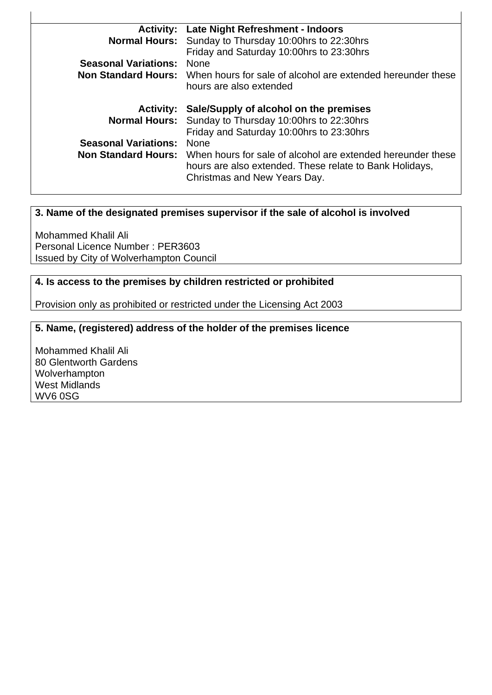| <b>Activity:</b>            | Late Night Refreshment - Indoors                                                       |
|-----------------------------|----------------------------------------------------------------------------------------|
| <b>Normal Hours:</b>        | Sunday to Thursday 10:00hrs to 22:30hrs                                                |
|                             | Friday and Saturday 10:00hrs to 23:30hrs                                               |
| <b>Seasonal Variations:</b> | <b>None</b>                                                                            |
|                             | <b>Non Standard Hours:</b> When hours for sale of alcohol are extended hereunder these |
|                             | hours are also extended                                                                |
|                             |                                                                                        |
|                             |                                                                                        |
| <b>Activity:</b>            | Sale/Supply of alcohol on the premises                                                 |
|                             | <b>Normal Hours:</b> Sunday to Thursday 10:00hrs to 22:30hrs                           |
|                             | Friday and Saturday 10:00hrs to 23:30hrs                                               |
| <b>Seasonal Variations:</b> | None                                                                                   |
| <b>Non Standard Hours:</b>  | When hours for sale of alcohol are extended hereunder these                            |
|                             | hours are also extended. These relate to Bank Holidays,                                |
|                             | Christmas and New Years Day.                                                           |

 $\overline{1}$ 

#### **3. Name of the designated premises supervisor if the sale of alcohol is involved**

Mohammed Khalil Ali Personal Licence Number : PER3603 Issued by City of Wolverhampton Council

#### **4. Is access to the premises by children restricted or prohibited**

Provision only as prohibited or restricted under the Licensing Act 2003

#### **5. Name, (registered) address of the holder of the premises licence**

Mohammed Khalil Ali 80 Glentworth Gardens Wolverhampton West Midlands WV6 0SG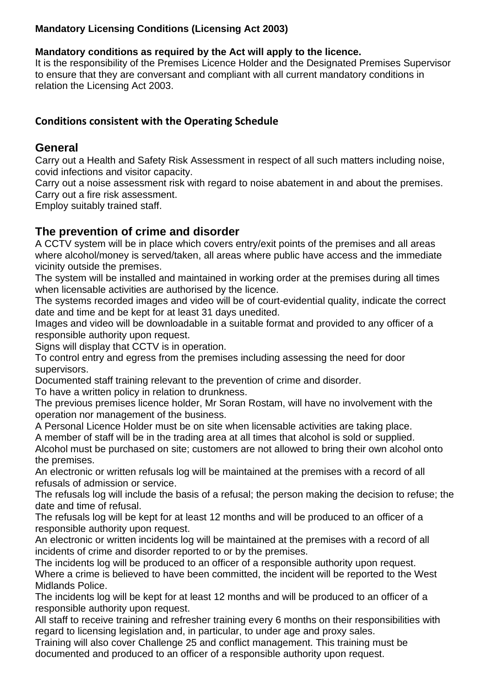#### **Mandatory Licensing Conditions (Licensing Act 2003)**

#### **Mandatory conditions as required by the Act will apply to the licence.**

It is the responsibility of the Premises Licence Holder and the Designated Premises Supervisor to ensure that they are conversant and compliant with all current mandatory conditions in relation the Licensing Act 2003.

## **Conditions consistent with the Operating Schedule**

#### **General**

Carry out a Health and Safety Risk Assessment in respect of all such matters including noise, covid infections and visitor capacity.

Carry out a noise assessment risk with regard to noise abatement in and about the premises. Carry out a fire risk assessment.

Employ suitably trained staff.

## **The prevention of crime and disorder**

A CCTV system will be in place which covers entry/exit points of the premises and all areas where alcohol/money is served/taken, all areas where public have access and the immediate vicinity outside the premises.

The system will be installed and maintained in working order at the premises during all times when licensable activities are authorised by the licence.

The systems recorded images and video will be of court-evidential quality, indicate the correct date and time and be kept for at least 31 days unedited.

Images and video will be downloadable in a suitable format and provided to any officer of a responsible authority upon request.

Signs will display that CCTV is in operation.

To control entry and egress from the premises including assessing the need for door supervisors.

Documented staff training relevant to the prevention of crime and disorder.

To have a written policy in relation to drunkness.

The previous premises licence holder, Mr Soran Rostam, will have no involvement with the operation nor management of the business.

A Personal Licence Holder must be on site when licensable activities are taking place.

A member of staff will be in the trading area at all times that alcohol is sold or supplied. Alcohol must be purchased on site; customers are not allowed to bring their own alcohol onto

the premises.

An electronic or written refusals log will be maintained at the premises with a record of all refusals of admission or service.

The refusals log will include the basis of a refusal; the person making the decision to refuse; the date and time of refusal.

The refusals log will be kept for at least 12 months and will be produced to an officer of a responsible authority upon request.

An electronic or written incidents log will be maintained at the premises with a record of all incidents of crime and disorder reported to or by the premises.

The incidents log will be produced to an officer of a responsible authority upon request. Where a crime is believed to have been committed, the incident will be reported to the West Midlands Police.

The incidents log will be kept for at least 12 months and will be produced to an officer of a responsible authority upon request.

All staff to receive training and refresher training every 6 months on their responsibilities with regard to licensing legislation and, in particular, to under age and proxy sales.

Training will also cover Challenge 25 and conflict management. This training must be documented and produced to an officer of a responsible authority upon request.